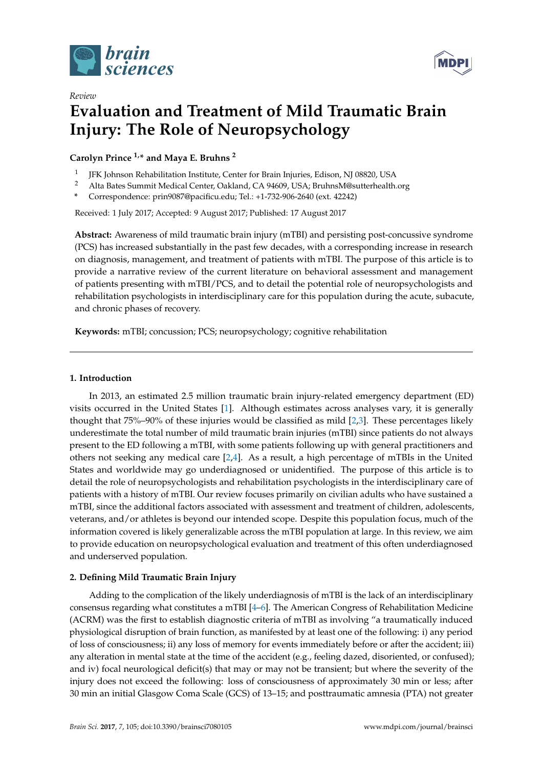

*Review*



# **Evaluation and Treatment of Mild Traumatic Brain Injury: The Role of Neuropsychology**

**Carolyn Prince 1,\* and Maya E. Bruhns <sup>2</sup>**

- 1 JFK Johnson Rehabilitation Institute, Center for Brain Injuries, Edison, NJ 08820, USA
- <sup>2</sup> Alta Bates Summit Medical Center, Oakland, CA 94609, USA; BruhnsM@sutterhealth.org
- **\*** Correspondence: prin9087@pacificu.edu; Tel.: +1-732-906-2640 (ext. 42242)

Received: 1 July 2017; Accepted: 9 August 2017; Published: 17 August 2017

**Abstract:** Awareness of mild traumatic brain injury (mTBI) and persisting post-concussive syndrome (PCS) has increased substantially in the past few decades, with a corresponding increase in research on diagnosis, management, and treatment of patients with mTBI. The purpose of this article is to provide a narrative review of the current literature on behavioral assessment and management of patients presenting with mTBI/PCS, and to detail the potential role of neuropsychologists and rehabilitation psychologists in interdisciplinary care for this population during the acute, subacute, and chronic phases of recovery.

**Keywords:** mTBI; concussion; PCS; neuropsychology; cognitive rehabilitation

## **1. Introduction**

In 2013, an estimated 2.5 million traumatic brain injury-related emergency department (ED) visits occurred in the United States [\[1\]](#page-9-0). Although estimates across analyses vary, it is generally thought that 75%–90% of these injuries would be classified as mild [\[2,](#page-9-1)[3\]](#page-9-2). These percentages likely underestimate the total number of mild traumatic brain injuries (mTBI) since patients do not always present to the ED following a mTBI, with some patients following up with general practitioners and others not seeking any medical care [\[2](#page-9-1)[,4\]](#page-9-3). As a result, a high percentage of mTBIs in the United States and worldwide may go underdiagnosed or unidentified. The purpose of this article is to detail the role of neuropsychologists and rehabilitation psychologists in the interdisciplinary care of patients with a history of mTBI. Our review focuses primarily on civilian adults who have sustained a mTBI, since the additional factors associated with assessment and treatment of children, adolescents, veterans, and/or athletes is beyond our intended scope. Despite this population focus, much of the information covered is likely generalizable across the mTBI population at large. In this review, we aim to provide education on neuropsychological evaluation and treatment of this often underdiagnosed and underserved population.

## **2. Defining Mild Traumatic Brain Injury**

Adding to the complication of the likely underdiagnosis of mTBI is the lack of an interdisciplinary consensus regarding what constitutes a mTBI [\[4](#page-9-3)[–6\]](#page-9-4). The American Congress of Rehabilitation Medicine (ACRM) was the first to establish diagnostic criteria of mTBI as involving "a traumatically induced physiological disruption of brain function, as manifested by at least one of the following: i) any period of loss of consciousness; ii) any loss of memory for events immediately before or after the accident; iii) any alteration in mental state at the time of the accident (e.g., feeling dazed, disoriented, or confused); and iv) focal neurological deficit(s) that may or may not be transient; but where the severity of the injury does not exceed the following: loss of consciousness of approximately 30 min or less; after 30 min an initial Glasgow Coma Scale (GCS) of 13–15; and posttraumatic amnesia (PTA) not greater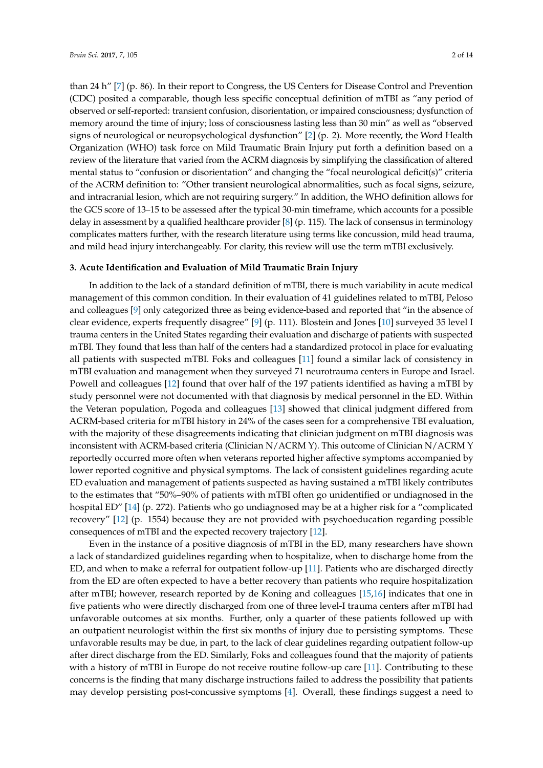than 24 h" [\[7\]](#page-10-0) (p. 86). In their report to Congress, the US Centers for Disease Control and Prevention (CDC) posited a comparable, though less specific conceptual definition of mTBI as "any period of observed or self-reported: transient confusion, disorientation, or impaired consciousness; dysfunction of memory around the time of injury; loss of consciousness lasting less than 30 min" as well as "observed signs of neurological or neuropsychological dysfunction" [\[2\]](#page-9-1) (p. 2). More recently, the Word Health Organization (WHO) task force on Mild Traumatic Brain Injury put forth a definition based on a review of the literature that varied from the ACRM diagnosis by simplifying the classification of altered mental status to "confusion or disorientation" and changing the "focal neurological deficit(s)" criteria of the ACRM definition to: "Other transient neurological abnormalities, such as focal signs, seizure, and intracranial lesion, which are not requiring surgery." In addition, the WHO definition allows for the GCS score of 13–15 to be assessed after the typical 30-min timeframe, which accounts for a possible delay in assessment by a qualified healthcare provider [\[8\]](#page-10-1) (p. 115). The lack of consensus in terminology complicates matters further, with the research literature using terms like concussion, mild head trauma, and mild head injury interchangeably. For clarity, this review will use the term mTBI exclusively.

#### **3. Acute Identification and Evaluation of Mild Traumatic Brain Injury**

In addition to the lack of a standard definition of mTBI, there is much variability in acute medical management of this common condition. In their evaluation of 41 guidelines related to mTBI, Peloso and colleagues [\[9\]](#page-10-2) only categorized three as being evidence-based and reported that "in the absence of clear evidence, experts frequently disagree" [\[9\]](#page-10-2) (p. 111). Blostein and Jones [\[10\]](#page-10-3) surveyed 35 level I trauma centers in the United States regarding their evaluation and discharge of patients with suspected mTBI. They found that less than half of the centers had a standardized protocol in place for evaluating all patients with suspected mTBI. Foks and colleagues [\[11\]](#page-10-4) found a similar lack of consistency in mTBI evaluation and management when they surveyed 71 neurotrauma centers in Europe and Israel. Powell and colleagues [\[12\]](#page-10-5) found that over half of the 197 patients identified as having a mTBI by study personnel were not documented with that diagnosis by medical personnel in the ED. Within the Veteran population, Pogoda and colleagues [\[13\]](#page-10-6) showed that clinical judgment differed from ACRM-based criteria for mTBI history in 24% of the cases seen for a comprehensive TBI evaluation, with the majority of these disagreements indicating that clinician judgment on mTBI diagnosis was inconsistent with ACRM-based criteria (Clinician N/ACRM Y). This outcome of Clinician N/ACRM Y reportedly occurred more often when veterans reported higher affective symptoms accompanied by lower reported cognitive and physical symptoms. The lack of consistent guidelines regarding acute ED evaluation and management of patients suspected as having sustained a mTBI likely contributes to the estimates that "50%–90% of patients with mTBI often go unidentified or undiagnosed in the hospital ED" [\[14\]](#page-10-7) (p. 272). Patients who go undiagnosed may be at a higher risk for a "complicated recovery" [\[12\]](#page-10-5) (p. 1554) because they are not provided with psychoeducation regarding possible consequences of mTBI and the expected recovery trajectory [\[12\]](#page-10-5).

Even in the instance of a positive diagnosis of mTBI in the ED, many researchers have shown a lack of standardized guidelines regarding when to hospitalize, when to discharge home from the ED, and when to make a referral for outpatient follow-up [\[11\]](#page-10-4). Patients who are discharged directly from the ED are often expected to have a better recovery than patients who require hospitalization after mTBI; however, research reported by de Koning and colleagues [\[15,](#page-10-8)[16\]](#page-10-9) indicates that one in five patients who were directly discharged from one of three level-I trauma centers after mTBI had unfavorable outcomes at six months. Further, only a quarter of these patients followed up with an outpatient neurologist within the first six months of injury due to persisting symptoms. These unfavorable results may be due, in part, to the lack of clear guidelines regarding outpatient follow-up after direct discharge from the ED. Similarly, Foks and colleagues found that the majority of patients with a history of mTBI in Europe do not receive routine follow-up care [\[11\]](#page-10-4). Contributing to these concerns is the finding that many discharge instructions failed to address the possibility that patients may develop persisting post-concussive symptoms [\[4\]](#page-9-3). Overall, these findings suggest a need to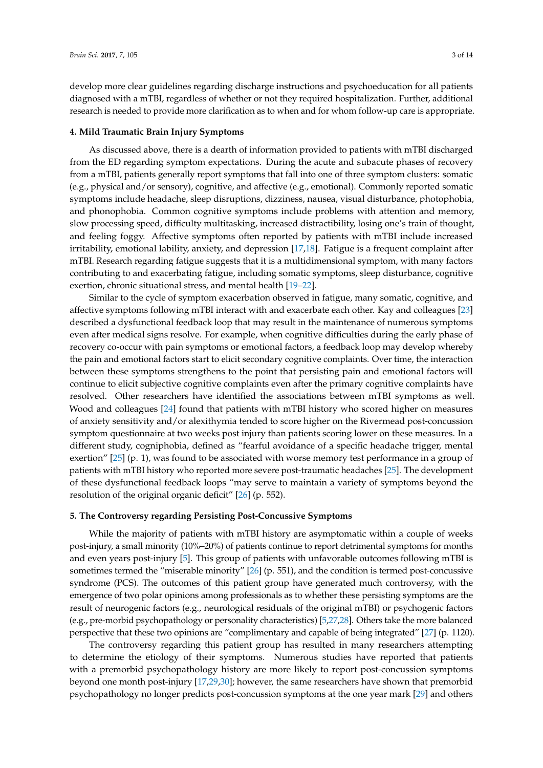develop more clear guidelines regarding discharge instructions and psychoeducation for all patients diagnosed with a mTBI, regardless of whether or not they required hospitalization. Further, additional research is needed to provide more clarification as to when and for whom follow-up care is appropriate.

### **4. Mild Traumatic Brain Injury Symptoms**

As discussed above, there is a dearth of information provided to patients with mTBI discharged from the ED regarding symptom expectations. During the acute and subacute phases of recovery from a mTBI, patients generally report symptoms that fall into one of three symptom clusters: somatic (e.g., physical and/or sensory), cognitive, and affective (e.g., emotional). Commonly reported somatic symptoms include headache, sleep disruptions, dizziness, nausea, visual disturbance, photophobia, and phonophobia. Common cognitive symptoms include problems with attention and memory, slow processing speed, difficulty multitasking, increased distractibility, losing one's train of thought, and feeling foggy. Affective symptoms often reported by patients with mTBI include increased irritability, emotional lability, anxiety, and depression [\[17,](#page-10-10)[18\]](#page-10-11). Fatigue is a frequent complaint after mTBI. Research regarding fatigue suggests that it is a multidimensional symptom, with many factors contributing to and exacerbating fatigue, including somatic symptoms, sleep disturbance, cognitive exertion, chronic situational stress, and mental health [\[19–](#page-10-12)[22\]](#page-10-13).

Similar to the cycle of symptom exacerbation observed in fatigue, many somatic, cognitive, and affective symptoms following mTBI interact with and exacerbate each other. Kay and colleagues [\[23\]](#page-10-14) described a dysfunctional feedback loop that may result in the maintenance of numerous symptoms even after medical signs resolve. For example, when cognitive difficulties during the early phase of recovery co-occur with pain symptoms or emotional factors, a feedback loop may develop whereby the pain and emotional factors start to elicit secondary cognitive complaints. Over time, the interaction between these symptoms strengthens to the point that persisting pain and emotional factors will continue to elicit subjective cognitive complaints even after the primary cognitive complaints have resolved. Other researchers have identified the associations between mTBI symptoms as well. Wood and colleagues [\[24\]](#page-10-15) found that patients with mTBI history who scored higher on measures of anxiety sensitivity and/or alexithymia tended to score higher on the Rivermead post-concussion symptom questionnaire at two weeks post injury than patients scoring lower on these measures. In a different study, cogniphobia, defined as "fearful avoidance of a specific headache trigger, mental exertion" [\[25\]](#page-10-16) (p. 1), was found to be associated with worse memory test performance in a group of patients with mTBI history who reported more severe post-traumatic headaches [\[25\]](#page-10-16). The development of these dysfunctional feedback loops "may serve to maintain a variety of symptoms beyond the resolution of the original organic deficit" [\[26\]](#page-10-17) (p. 552).

#### <span id="page-2-0"></span>**5. The Controversy regarding Persisting Post-Concussive Symptoms**

While the majority of patients with mTBI history are asymptomatic within a couple of weeks post-injury, a small minority (10%–20%) of patients continue to report detrimental symptoms for months and even years post-injury [\[5\]](#page-9-5). This group of patients with unfavorable outcomes following mTBI is sometimes termed the "miserable minority" [\[26\]](#page-10-17) (p. 551), and the condition is termed post-concussive syndrome (PCS). The outcomes of this patient group have generated much controversy, with the emergence of two polar opinions among professionals as to whether these persisting symptoms are the result of neurogenic factors (e.g., neurological residuals of the original mTBI) or psychogenic factors (e.g., pre-morbid psychopathology or personality characteristics) [\[5,](#page-9-5)[27](#page-10-18)[,28\]](#page-11-0). Others take the more balanced perspective that these two opinions are "complimentary and capable of being integrated" [\[27\]](#page-10-18) (p. 1120).

The controversy regarding this patient group has resulted in many researchers attempting to determine the etiology of their symptoms. Numerous studies have reported that patients with a premorbid psychopathology history are more likely to report post-concussion symptoms beyond one month post-injury [\[17,](#page-10-10)[29,](#page-11-1)[30\]](#page-11-2); however, the same researchers have shown that premorbid psychopathology no longer predicts post-concussion symptoms at the one year mark [\[29\]](#page-11-1) and others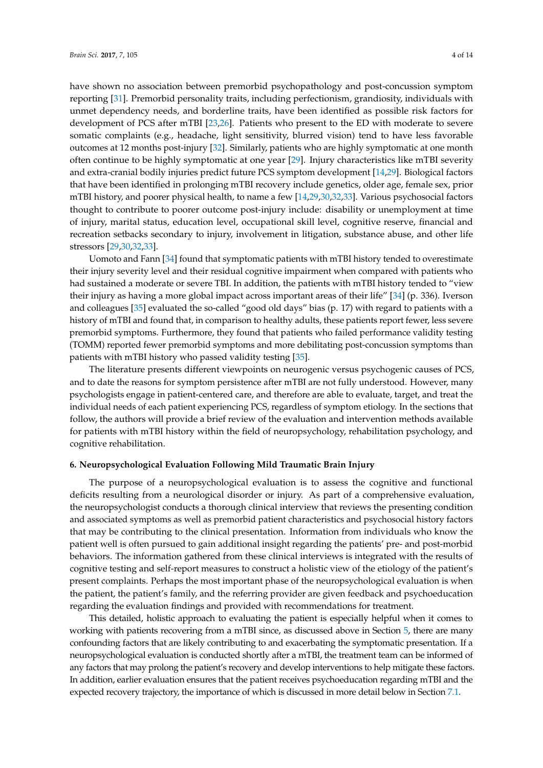have shown no association between premorbid psychopathology and post-concussion symptom reporting [\[31\]](#page-11-3). Premorbid personality traits, including perfectionism, grandiosity, individuals with unmet dependency needs, and borderline traits, have been identified as possible risk factors for development of PCS after mTBI [\[23,](#page-10-14)[26\]](#page-10-17). Patients who present to the ED with moderate to severe somatic complaints (e.g., headache, light sensitivity, blurred vision) tend to have less favorable outcomes at 12 months post-injury [\[32\]](#page-11-4). Similarly, patients who are highly symptomatic at one month often continue to be highly symptomatic at one year [\[29\]](#page-11-1). Injury characteristics like mTBI severity and extra-cranial bodily injuries predict future PCS symptom development [\[14](#page-10-7)[,29\]](#page-11-1). Biological factors that have been identified in prolonging mTBI recovery include genetics, older age, female sex, prior mTBI history, and poorer physical health, to name a few [\[14,](#page-10-7)[29,](#page-11-1)[30,](#page-11-2)[32](#page-11-4)[,33\]](#page-11-5). Various psychosocial factors thought to contribute to poorer outcome post-injury include: disability or unemployment at time of injury, marital status, education level, occupational skill level, cognitive reserve, financial and recreation setbacks secondary to injury, involvement in litigation, substance abuse, and other life stressors [\[29](#page-11-1)[,30](#page-11-2)[,32](#page-11-4)[,33\]](#page-11-5).

Uomoto and Fann [\[34\]](#page-11-6) found that symptomatic patients with mTBI history tended to overestimate their injury severity level and their residual cognitive impairment when compared with patients who had sustained a moderate or severe TBI. In addition, the patients with mTBI history tended to "view their injury as having a more global impact across important areas of their life" [\[34\]](#page-11-6) (p. 336). Iverson and colleagues [\[35\]](#page-11-7) evaluated the so-called "good old days" bias (p. 17) with regard to patients with a history of mTBI and found that, in comparison to healthy adults, these patients report fewer, less severe premorbid symptoms. Furthermore, they found that patients who failed performance validity testing (TOMM) reported fewer premorbid symptoms and more debilitating post-concussion symptoms than patients with mTBI history who passed validity testing [\[35\]](#page-11-7).

The literature presents different viewpoints on neurogenic versus psychogenic causes of PCS, and to date the reasons for symptom persistence after mTBI are not fully understood. However, many psychologists engage in patient-centered care, and therefore are able to evaluate, target, and treat the individual needs of each patient experiencing PCS, regardless of symptom etiology. In the sections that follow, the authors will provide a brief review of the evaluation and intervention methods available for patients with mTBI history within the field of neuropsychology, rehabilitation psychology, and cognitive rehabilitation.

## **6. Neuropsychological Evaluation Following Mild Traumatic Brain Injury**

The purpose of a neuropsychological evaluation is to assess the cognitive and functional deficits resulting from a neurological disorder or injury. As part of a comprehensive evaluation, the neuropsychologist conducts a thorough clinical interview that reviews the presenting condition and associated symptoms as well as premorbid patient characteristics and psychosocial history factors that may be contributing to the clinical presentation. Information from individuals who know the patient well is often pursued to gain additional insight regarding the patients' pre- and post-morbid behaviors. The information gathered from these clinical interviews is integrated with the results of cognitive testing and self-report measures to construct a holistic view of the etiology of the patient's present complaints. Perhaps the most important phase of the neuropsychological evaluation is when the patient, the patient's family, and the referring provider are given feedback and psychoeducation regarding the evaluation findings and provided with recommendations for treatment.

This detailed, holistic approach to evaluating the patient is especially helpful when it comes to working with patients recovering from a mTBI since, as discussed above in Section [5,](#page-2-0) there are many confounding factors that are likely contributing to and exacerbating the symptomatic presentation. If a neuropsychological evaluation is conducted shortly after a mTBI, the treatment team can be informed of any factors that may prolong the patient's recovery and develop interventions to help mitigate these factors. In addition, earlier evaluation ensures that the patient receives psychoeducation regarding mTBI and the expected recovery trajectory, the importance of which is discussed in more detail below in Section [7.1.](#page-5-0)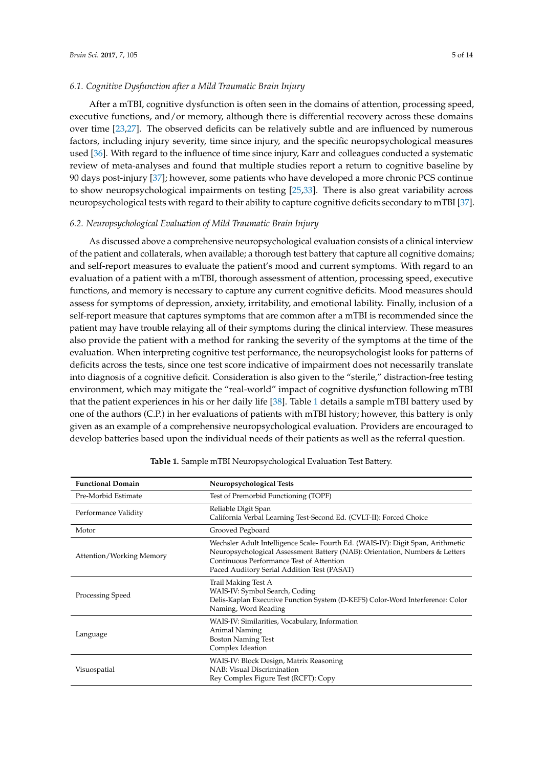#### *6.1. Cognitive Dysfunction after a Mild Traumatic Brain Injury*

After a mTBI, cognitive dysfunction is often seen in the domains of attention, processing speed, executive functions, and/or memory, although there is differential recovery across these domains over time [\[23,](#page-10-14)[27\]](#page-10-18). The observed deficits can be relatively subtle and are influenced by numerous factors, including injury severity, time since injury, and the specific neuropsychological measures used [\[36\]](#page-11-8). With regard to the influence of time since injury, Karr and colleagues conducted a systematic review of meta-analyses and found that multiple studies report a return to cognitive baseline by 90 days post-injury [\[37\]](#page-11-9); however, some patients who have developed a more chronic PCS continue to show neuropsychological impairments on testing [\[25](#page-10-16)[,33\]](#page-11-5). There is also great variability across neuropsychological tests with regard to their ability to capture cognitive deficits secondary to mTBI [\[37\]](#page-11-9).

## *6.2. Neuropsychological Evaluation of Mild Traumatic Brain Injury*

As discussed above a comprehensive neuropsychological evaluation consists of a clinical interview of the patient and collaterals, when available; a thorough test battery that capture all cognitive domains; and self-report measures to evaluate the patient's mood and current symptoms. With regard to an evaluation of a patient with a mTBI, thorough assessment of attention, processing speed, executive functions, and memory is necessary to capture any current cognitive deficits. Mood measures should assess for symptoms of depression, anxiety, irritability, and emotional lability. Finally, inclusion of a self-report measure that captures symptoms that are common after a mTBI is recommended since the patient may have trouble relaying all of their symptoms during the clinical interview. These measures also provide the patient with a method for ranking the severity of the symptoms at the time of the evaluation. When interpreting cognitive test performance, the neuropsychologist looks for patterns of deficits across the tests, since one test score indicative of impairment does not necessarily translate into diagnosis of a cognitive deficit. Consideration is also given to the "sterile," distraction-free testing environment, which may mitigate the "real-world" impact of cognitive dysfunction following mTBI that the patient experiences in his or her daily life [\[38\]](#page-11-10). Table [1](#page-5-1) details a sample mTBI battery used by one of the authors (C.P.) in her evaluations of patients with mTBI history; however, this battery is only given as an example of a comprehensive neuropsychological evaluation. Providers are encouraged to develop batteries based upon the individual needs of their patients as well as the referral question.

| <b>Functional Domain</b> | Neuropsychological Tests                                                                                                                                                                                                                                 |
|--------------------------|----------------------------------------------------------------------------------------------------------------------------------------------------------------------------------------------------------------------------------------------------------|
| Pre-Morbid Estimate      | Test of Premorbid Functioning (TOPF)                                                                                                                                                                                                                     |
| Performance Validity     | Reliable Digit Span<br>California Verbal Learning Test-Second Ed. (CVLT-II): Forced Choice                                                                                                                                                               |
| Motor                    | Grooved Pegboard                                                                                                                                                                                                                                         |
| Attention/Working Memory | Wechsler Adult Intelligence Scale-Fourth Ed. (WAIS-IV): Digit Span, Arithmetic<br>Neuropsychological Assessment Battery (NAB): Orientation, Numbers & Letters<br>Continuous Performance Test of Attention<br>Paced Auditory Serial Addition Test (PASAT) |
| Processing Speed         | Trail Making Test A<br>WAIS-IV: Symbol Search, Coding<br>Delis-Kaplan Executive Function System (D-KEFS) Color-Word Interference: Color<br>Naming, Word Reading                                                                                          |
| Language                 | WAIS-IV: Similarities, Vocabulary, Information<br><b>Animal Naming</b><br><b>Boston Naming Test</b><br>Complex Ideation                                                                                                                                  |
| Visuospatial             | WAIS-IV: Block Design, Matrix Reasoning<br>NAB: Visual Discrimination<br>Rey Complex Figure Test (RCFT): Copy                                                                                                                                            |

**Table 1.** Sample mTBI Neuropsychological Evaluation Test Battery.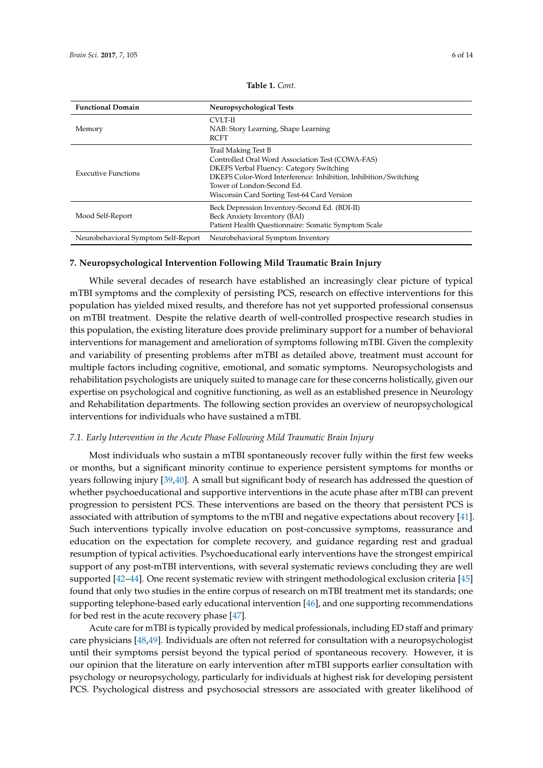<span id="page-5-1"></span>

| <b>Functional Domain</b>            | Neuropsychological Tests                                                                                                                                                                                                                                                   |
|-------------------------------------|----------------------------------------------------------------------------------------------------------------------------------------------------------------------------------------------------------------------------------------------------------------------------|
| Memory                              | CVLT-II<br>NAB: Story Learning, Shape Learning<br><b>RCFT</b>                                                                                                                                                                                                              |
| <b>Executive Functions</b>          | Trail Making Test B<br>Controlled Oral Word Association Test (COWA-FAS)<br><b>DKEFS Verbal Fluency: Category Switching</b><br>DKEFS Color-Word Interference: Inhibition, Inhibition/Switching<br>Tower of London-Second Ed.<br>Wisconsin Card Sorting Test-64 Card Version |
| Mood Self-Report                    | Beck Depression Inventory-Second Ed. (BDI-II)<br>Beck Anxiety Inventory (BAI)<br>Patient Health Questionnaire: Somatic Symptom Scale                                                                                                                                       |
| Neurobehavioral Symptom Self-Report | Neurobehavioral Symptom Inventory                                                                                                                                                                                                                                          |

**Table 1.** *Cont.*

## **7. Neuropsychological Intervention Following Mild Traumatic Brain Injury**

While several decades of research have established an increasingly clear picture of typical mTBI symptoms and the complexity of persisting PCS, research on effective interventions for this population has yielded mixed results, and therefore has not yet supported professional consensus on mTBI treatment. Despite the relative dearth of well-controlled prospective research studies in this population, the existing literature does provide preliminary support for a number of behavioral interventions for management and amelioration of symptoms following mTBI. Given the complexity and variability of presenting problems after mTBI as detailed above, treatment must account for multiple factors including cognitive, emotional, and somatic symptoms. Neuropsychologists and rehabilitation psychologists are uniquely suited to manage care for these concerns holistically, given our expertise on psychological and cognitive functioning, as well as an established presence in Neurology and Rehabilitation departments. The following section provides an overview of neuropsychological interventions for individuals who have sustained a mTBI.

## <span id="page-5-0"></span>*7.1. Early Intervention in the Acute Phase Following Mild Traumatic Brain Injury*

Most individuals who sustain a mTBI spontaneously recover fully within the first few weeks or months, but a significant minority continue to experience persistent symptoms for months or years following injury [\[39,](#page-11-11)[40\]](#page-11-12). A small but significant body of research has addressed the question of whether psychoeducational and supportive interventions in the acute phase after mTBI can prevent progression to persistent PCS. These interventions are based on the theory that persistent PCS is associated with attribution of symptoms to the mTBI and negative expectations about recovery [\[41\]](#page-11-13). Such interventions typically involve education on post-concussive symptoms, reassurance and education on the expectation for complete recovery, and guidance regarding rest and gradual resumption of typical activities. Psychoeducational early interventions have the strongest empirical support of any post-mTBI interventions, with several systematic reviews concluding they are well supported [\[42](#page-11-14)[–44\]](#page-11-15). One recent systematic review with stringent methodological exclusion criteria [\[45\]](#page-11-16) found that only two studies in the entire corpus of research on mTBI treatment met its standards; one supporting telephone-based early educational intervention [\[46\]](#page-11-17), and one supporting recommendations for bed rest in the acute recovery phase [\[47\]](#page-11-18).

Acute care for mTBI is typically provided by medical professionals, including ED staff and primary care physicians [\[48](#page-12-0)[,49\]](#page-12-1). Individuals are often not referred for consultation with a neuropsychologist until their symptoms persist beyond the typical period of spontaneous recovery. However, it is our opinion that the literature on early intervention after mTBI supports earlier consultation with psychology or neuropsychology, particularly for individuals at highest risk for developing persistent PCS. Psychological distress and psychosocial stressors are associated with greater likelihood of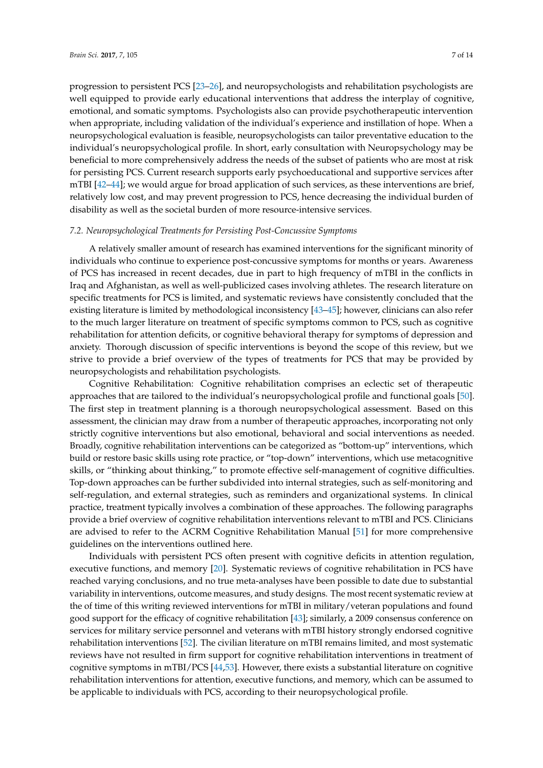progression to persistent PCS [\[23–](#page-10-14)[26\]](#page-10-17), and neuropsychologists and rehabilitation psychologists are well equipped to provide early educational interventions that address the interplay of cognitive, emotional, and somatic symptoms. Psychologists also can provide psychotherapeutic intervention when appropriate, including validation of the individual's experience and instillation of hope. When a neuropsychological evaluation is feasible, neuropsychologists can tailor preventative education to the individual's neuropsychological profile. In short, early consultation with Neuropsychology may be beneficial to more comprehensively address the needs of the subset of patients who are most at risk for persisting PCS. Current research supports early psychoeducational and supportive services after mTBI [\[42–](#page-11-14)[44\]](#page-11-15); we would argue for broad application of such services, as these interventions are brief, relatively low cost, and may prevent progression to PCS, hence decreasing the individual burden of disability as well as the societal burden of more resource-intensive services.

#### *7.2. Neuropsychological Treatments for Persisting Post-Concussive Symptoms*

A relatively smaller amount of research has examined interventions for the significant minority of individuals who continue to experience post-concussive symptoms for months or years. Awareness of PCS has increased in recent decades, due in part to high frequency of mTBI in the conflicts in Iraq and Afghanistan, as well as well-publicized cases involving athletes. The research literature on specific treatments for PCS is limited, and systematic reviews have consistently concluded that the existing literature is limited by methodological inconsistency [\[43](#page-11-19)[–45\]](#page-11-16); however, clinicians can also refer to the much larger literature on treatment of specific symptoms common to PCS, such as cognitive rehabilitation for attention deficits, or cognitive behavioral therapy for symptoms of depression and anxiety. Thorough discussion of specific interventions is beyond the scope of this review, but we strive to provide a brief overview of the types of treatments for PCS that may be provided by neuropsychologists and rehabilitation psychologists.

Cognitive Rehabilitation: Cognitive rehabilitation comprises an eclectic set of therapeutic approaches that are tailored to the individual's neuropsychological profile and functional goals [\[50\]](#page-12-2). The first step in treatment planning is a thorough neuropsychological assessment. Based on this assessment, the clinician may draw from a number of therapeutic approaches, incorporating not only strictly cognitive interventions but also emotional, behavioral and social interventions as needed. Broadly, cognitive rehabilitation interventions can be categorized as "bottom-up" interventions, which build or restore basic skills using rote practice, or "top-down" interventions, which use metacognitive skills, or "thinking about thinking," to promote effective self-management of cognitive difficulties. Top-down approaches can be further subdivided into internal strategies, such as self-monitoring and self-regulation, and external strategies, such as reminders and organizational systems. In clinical practice, treatment typically involves a combination of these approaches. The following paragraphs provide a brief overview of cognitive rehabilitation interventions relevant to mTBI and PCS. Clinicians are advised to refer to the ACRM Cognitive Rehabilitation Manual [\[51\]](#page-12-3) for more comprehensive guidelines on the interventions outlined here.

Individuals with persistent PCS often present with cognitive deficits in attention regulation, executive functions, and memory [\[20\]](#page-10-19). Systematic reviews of cognitive rehabilitation in PCS have reached varying conclusions, and no true meta-analyses have been possible to date due to substantial variability in interventions, outcome measures, and study designs. The most recent systematic review at the of time of this writing reviewed interventions for mTBI in military/veteran populations and found good support for the efficacy of cognitive rehabilitation [\[43\]](#page-11-19); similarly, a 2009 consensus conference on services for military service personnel and veterans with mTBI history strongly endorsed cognitive rehabilitation interventions [\[52\]](#page-12-4). The civilian literature on mTBI remains limited, and most systematic reviews have not resulted in firm support for cognitive rehabilitation interventions in treatment of cognitive symptoms in mTBI/PCS [\[44](#page-11-15)[,53\]](#page-12-5). However, there exists a substantial literature on cognitive rehabilitation interventions for attention, executive functions, and memory, which can be assumed to be applicable to individuals with PCS, according to their neuropsychological profile.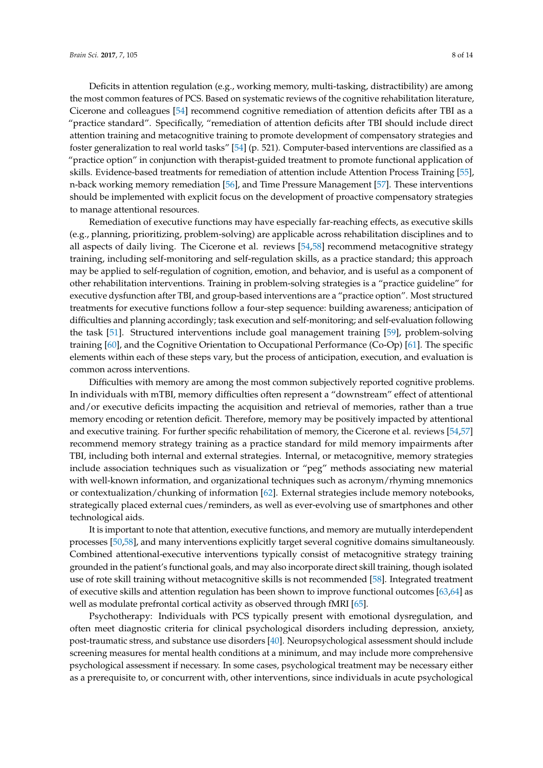Deficits in attention regulation (e.g., working memory, multi-tasking, distractibility) are among the most common features of PCS. Based on systematic reviews of the cognitive rehabilitation literature, Cicerone and colleagues [\[54\]](#page-12-6) recommend cognitive remediation of attention deficits after TBI as a "practice standard". Specifically, "remediation of attention deficits after TBI should include direct attention training and metacognitive training to promote development of compensatory strategies and foster generalization to real world tasks" [\[54\]](#page-12-6) (p. 521). Computer-based interventions are classified as a "practice option" in conjunction with therapist-guided treatment to promote functional application of skills. Evidence-based treatments for remediation of attention include Attention Process Training [\[55\]](#page-12-7), n-back working memory remediation [\[56\]](#page-12-8), and Time Pressure Management [\[57\]](#page-12-9). These interventions should be implemented with explicit focus on the development of proactive compensatory strategies to manage attentional resources.

Remediation of executive functions may have especially far-reaching effects, as executive skills (e.g., planning, prioritizing, problem-solving) are applicable across rehabilitation disciplines and to all aspects of daily living. The Cicerone et al. reviews [\[54,](#page-12-6)[58\]](#page-12-10) recommend metacognitive strategy training, including self-monitoring and self-regulation skills, as a practice standard; this approach may be applied to self-regulation of cognition, emotion, and behavior, and is useful as a component of other rehabilitation interventions. Training in problem-solving strategies is a "practice guideline" for executive dysfunction after TBI, and group-based interventions are a "practice option". Most structured treatments for executive functions follow a four-step sequence: building awareness; anticipation of difficulties and planning accordingly; task execution and self-monitoring; and self-evaluation following the task [\[51\]](#page-12-3). Structured interventions include goal management training [\[59\]](#page-12-11), problem-solving training [\[60\]](#page-12-12), and the Cognitive Orientation to Occupational Performance (Co-Op) [\[61\]](#page-12-13). The specific elements within each of these steps vary, but the process of anticipation, execution, and evaluation is common across interventions.

Difficulties with memory are among the most common subjectively reported cognitive problems. In individuals with mTBI, memory difficulties often represent a "downstream" effect of attentional and/or executive deficits impacting the acquisition and retrieval of memories, rather than a true memory encoding or retention deficit. Therefore, memory may be positively impacted by attentional and executive training. For further specific rehabilitation of memory, the Cicerone et al. reviews [\[54,](#page-12-6)[57\]](#page-12-9) recommend memory strategy training as a practice standard for mild memory impairments after TBI, including both internal and external strategies. Internal, or metacognitive, memory strategies include association techniques such as visualization or "peg" methods associating new material with well-known information, and organizational techniques such as acronym/rhyming mnemonics or contextualization/chunking of information [\[62\]](#page-12-14). External strategies include memory notebooks, strategically placed external cues/reminders, as well as ever-evolving use of smartphones and other technological aids.

It is important to note that attention, executive functions, and memory are mutually interdependent processes [\[50](#page-12-2)[,58\]](#page-12-10), and many interventions explicitly target several cognitive domains simultaneously. Combined attentional-executive interventions typically consist of metacognitive strategy training grounded in the patient's functional goals, and may also incorporate direct skill training, though isolated use of rote skill training without metacognitive skills is not recommended [\[58\]](#page-12-10). Integrated treatment of executive skills and attention regulation has been shown to improve functional outcomes [\[63,](#page-12-15)[64\]](#page-12-16) as well as modulate prefrontal cortical activity as observed through fMRI [\[65\]](#page-12-17).

Psychotherapy: Individuals with PCS typically present with emotional dysregulation, and often meet diagnostic criteria for clinical psychological disorders including depression, anxiety, post-traumatic stress, and substance use disorders [\[40\]](#page-11-12). Neuropsychological assessment should include screening measures for mental health conditions at a minimum, and may include more comprehensive psychological assessment if necessary. In some cases, psychological treatment may be necessary either as a prerequisite to, or concurrent with, other interventions, since individuals in acute psychological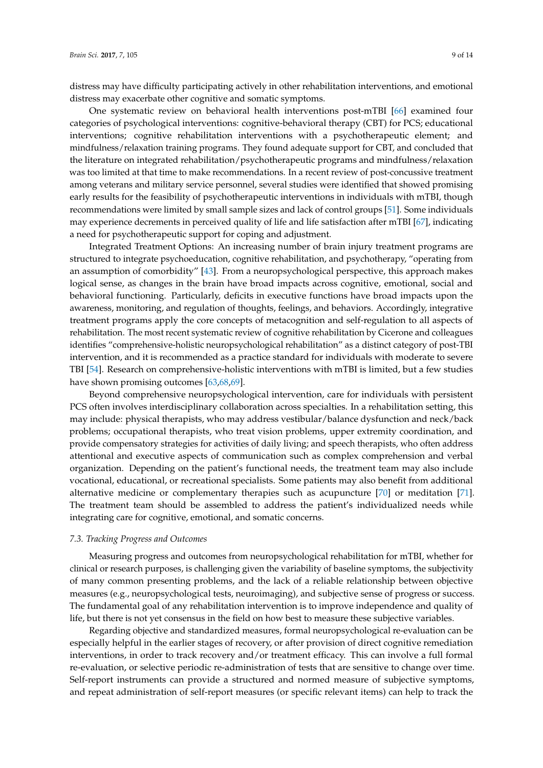distress may have difficulty participating actively in other rehabilitation interventions, and emotional distress may exacerbate other cognitive and somatic symptoms.

One systematic review on behavioral health interventions post-mTBI [\[66\]](#page-12-18) examined four categories of psychological interventions: cognitive-behavioral therapy (CBT) for PCS; educational interventions; cognitive rehabilitation interventions with a psychotherapeutic element; and mindfulness/relaxation training programs. They found adequate support for CBT, and concluded that the literature on integrated rehabilitation/psychotherapeutic programs and mindfulness/relaxation was too limited at that time to make recommendations. In a recent review of post-concussive treatment among veterans and military service personnel, several studies were identified that showed promising early results for the feasibility of psychotherapeutic interventions in individuals with mTBI, though recommendations were limited by small sample sizes and lack of control groups [\[51\]](#page-12-3). Some individuals may experience decrements in perceived quality of life and life satisfaction after mTBI [\[67\]](#page-13-0), indicating a need for psychotherapeutic support for coping and adjustment.

Integrated Treatment Options: An increasing number of brain injury treatment programs are structured to integrate psychoeducation, cognitive rehabilitation, and psychotherapy, "operating from an assumption of comorbidity" [\[43\]](#page-11-19). From a neuropsychological perspective, this approach makes logical sense, as changes in the brain have broad impacts across cognitive, emotional, social and behavioral functioning. Particularly, deficits in executive functions have broad impacts upon the awareness, monitoring, and regulation of thoughts, feelings, and behaviors. Accordingly, integrative treatment programs apply the core concepts of metacognition and self-regulation to all aspects of rehabilitation. The most recent systematic review of cognitive rehabilitation by Cicerone and colleagues identifies "comprehensive-holistic neuropsychological rehabilitation" as a distinct category of post-TBI intervention, and it is recommended as a practice standard for individuals with moderate to severe TBI [\[54\]](#page-12-6). Research on comprehensive-holistic interventions with mTBI is limited, but a few studies have shown promising outcomes [\[63,](#page-12-15)[68,](#page-13-1)[69\]](#page-13-2).

Beyond comprehensive neuropsychological intervention, care for individuals with persistent PCS often involves interdisciplinary collaboration across specialties. In a rehabilitation setting, this may include: physical therapists, who may address vestibular/balance dysfunction and neck/back problems; occupational therapists, who treat vision problems, upper extremity coordination, and provide compensatory strategies for activities of daily living; and speech therapists, who often address attentional and executive aspects of communication such as complex comprehension and verbal organization. Depending on the patient's functional needs, the treatment team may also include vocational, educational, or recreational specialists. Some patients may also benefit from additional alternative medicine or complementary therapies such as acupuncture [\[70\]](#page-13-3) or meditation [\[71\]](#page-13-4). The treatment team should be assembled to address the patient's individualized needs while integrating care for cognitive, emotional, and somatic concerns.

#### *7.3. Tracking Progress and Outcomes*

Measuring progress and outcomes from neuropsychological rehabilitation for mTBI, whether for clinical or research purposes, is challenging given the variability of baseline symptoms, the subjectivity of many common presenting problems, and the lack of a reliable relationship between objective measures (e.g., neuropsychological tests, neuroimaging), and subjective sense of progress or success. The fundamental goal of any rehabilitation intervention is to improve independence and quality of life, but there is not yet consensus in the field on how best to measure these subjective variables.

Regarding objective and standardized measures, formal neuropsychological re-evaluation can be especially helpful in the earlier stages of recovery, or after provision of direct cognitive remediation interventions, in order to track recovery and/or treatment efficacy. This can involve a full formal re-evaluation, or selective periodic re-administration of tests that are sensitive to change over time. Self-report instruments can provide a structured and normed measure of subjective symptoms, and repeat administration of self-report measures (or specific relevant items) can help to track the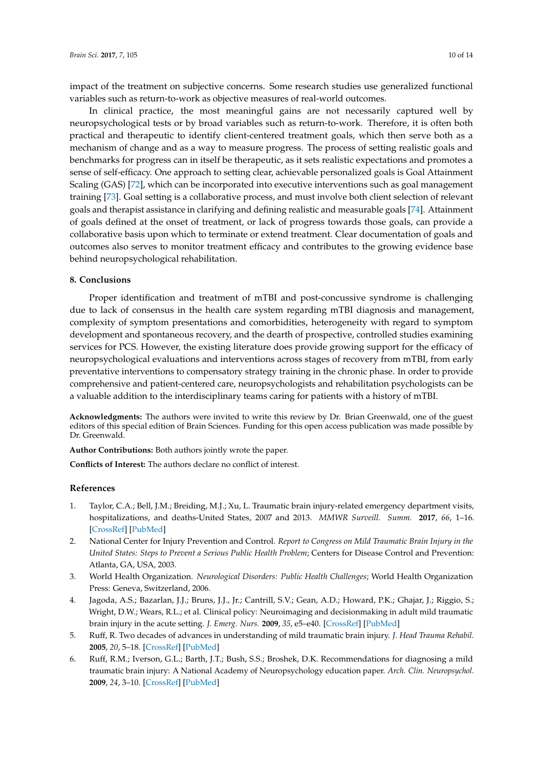impact of the treatment on subjective concerns. Some research studies use generalized functional variables such as return-to-work as objective measures of real-world outcomes.

In clinical practice, the most meaningful gains are not necessarily captured well by neuropsychological tests or by broad variables such as return-to-work. Therefore, it is often both practical and therapeutic to identify client-centered treatment goals, which then serve both as a mechanism of change and as a way to measure progress. The process of setting realistic goals and benchmarks for progress can in itself be therapeutic, as it sets realistic expectations and promotes a sense of self-efficacy. One approach to setting clear, achievable personalized goals is Goal Attainment Scaling (GAS) [\[72\]](#page-13-5), which can be incorporated into executive interventions such as goal management training [\[73\]](#page-13-6). Goal setting is a collaborative process, and must involve both client selection of relevant goals and therapist assistance in clarifying and defining realistic and measurable goals [\[74\]](#page-13-7). Attainment of goals defined at the onset of treatment, or lack of progress towards those goals, can provide a collaborative basis upon which to terminate or extend treatment. Clear documentation of goals and outcomes also serves to monitor treatment efficacy and contributes to the growing evidence base behind neuropsychological rehabilitation.

### **8. Conclusions**

Proper identification and treatment of mTBI and post-concussive syndrome is challenging due to lack of consensus in the health care system regarding mTBI diagnosis and management, complexity of symptom presentations and comorbidities, heterogeneity with regard to symptom development and spontaneous recovery, and the dearth of prospective, controlled studies examining services for PCS. However, the existing literature does provide growing support for the efficacy of neuropsychological evaluations and interventions across stages of recovery from mTBI, from early preventative interventions to compensatory strategy training in the chronic phase. In order to provide comprehensive and patient-centered care, neuropsychologists and rehabilitation psychologists can be a valuable addition to the interdisciplinary teams caring for patients with a history of mTBI.

**Acknowledgments:** The authors were invited to write this review by Dr. Brian Greenwald, one of the guest editors of this special edition of Brain Sciences. Funding for this open access publication was made possible by Dr. Greenwald.

**Author Contributions:** Both authors jointly wrote the paper.

**Conflicts of Interest:** The authors declare no conflict of interest.

## **References**

- <span id="page-9-0"></span>1. Taylor, C.A.; Bell, J.M.; Breiding, M.J.; Xu, L. Traumatic brain injury-related emergency department visits, hospitalizations, and deaths-United States, 2007 and 2013. *MMWR Surveill. Summ.* **2017**, *66*, 1–16. [\[CrossRef\]](http://dx.doi.org/10.15585/mmwr.ss6609a1) [\[PubMed\]](http://www.ncbi.nlm.nih.gov/pubmed/28301451)
- <span id="page-9-1"></span>2. National Center for Injury Prevention and Control. *Report to Congress on Mild Traumatic Brain Injury in the United States: Steps to Prevent a Serious Public Health Problem*; Centers for Disease Control and Prevention: Atlanta, GA, USA, 2003.
- <span id="page-9-2"></span>3. World Health Organization. *Neurological Disorders: Public Health Challenges*; World Health Organization Press: Geneva, Switzerland, 2006.
- <span id="page-9-3"></span>4. Jagoda, A.S.; Bazarlan, J.J.; Bruns, J.J., Jr.; Cantrill, S.V.; Gean, A.D.; Howard, P.K.; Ghajar, J.; Riggio, S.; Wright, D.W.; Wears, R.L.; et al. Clinical policy: Neuroimaging and decisionmaking in adult mild traumatic brain injury in the acute setting. *J. Emerg. Nurs.* **2009**, *35*, e5–e40. [\[CrossRef\]](http://dx.doi.org/10.1016/j.jen.2008.12.010) [\[PubMed\]](http://www.ncbi.nlm.nih.gov/pubmed/19285163)
- <span id="page-9-5"></span>5. Ruff, R. Two decades of advances in understanding of mild traumatic brain injury. *J. Head Trauma Rehabil.* **2005**, *20*, 5–18. [\[CrossRef\]](http://dx.doi.org/10.1097/00001199-200501000-00003) [\[PubMed\]](http://www.ncbi.nlm.nih.gov/pubmed/15668567)
- <span id="page-9-4"></span>6. Ruff, R.M.; Iverson, G.L.; Barth, J.T.; Bush, S.S.; Broshek, D.K. Recommendations for diagnosing a mild traumatic brain injury: A National Academy of Neuropsychology education paper. *Arch. Clin. Neuropsychol.* **2009**, *24*, 3–10. [\[CrossRef\]](http://dx.doi.org/10.1093/arclin/acp006) [\[PubMed\]](http://www.ncbi.nlm.nih.gov/pubmed/19395352)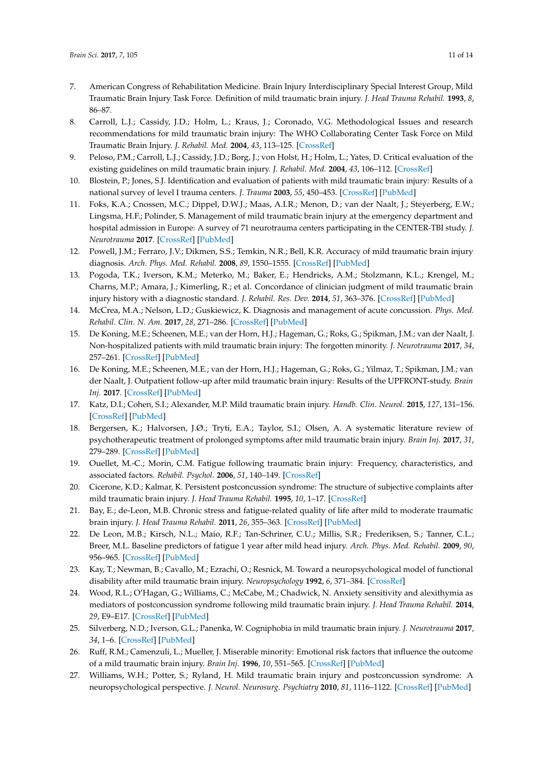- <span id="page-10-0"></span>7. American Congress of Rehabilitation Medicine. Brain Injury Interdisciplinary Special Interest Group, Mild Traumatic Brain Injury Task Force. Definition of mild traumatic brain injury. *J. Head Trauma Rehabil.* **1993**, *8*, 86–87.
- <span id="page-10-1"></span>8. Carroll, L.J.; Cassidy, J.D.; Holm, L.; Kraus, J.; Coronado, V.G. Methodological Issues and research recommendations for mild traumatic brain injury: The WHO Collaborating Center Task Force on Mild Traumatic Brain Injury. *J. Rehabil. Med.* **2004**, *43*, 113–125. [\[CrossRef\]](http://dx.doi.org/10.1080/16501960410023877)
- <span id="page-10-2"></span>9. Peloso, P.M.; Carroll, L.J.; Cassidy, J.D.; Borg, J.; von Holst, H.; Holm, L.; Yates, D. Critical evaluation of the existing guidelines on mild traumatic brain injury. *J. Rehabil. Med.* **2004**, *43*, 106–112. [\[CrossRef\]](http://dx.doi.org/10.1080/16501960410023868)
- <span id="page-10-3"></span>10. Blostein, P.; Jones, S.J. Identification and evaluation of patients with mild traumatic brain injury: Results of a national survey of level I trauma centers. *J. Trauma* **2003**, *55*, 450–453. [\[CrossRef\]](http://dx.doi.org/10.1097/01.TA.0000038545.24879.4D) [\[PubMed\]](http://www.ncbi.nlm.nih.gov/pubmed/14501885)
- <span id="page-10-4"></span>11. Foks, K.A.; Cnossen, M.C.; Dippel, D.W.J.; Maas, A.I.R.; Menon, D.; van der Naalt, J.; Steyerberg, E.W.; Lingsma, H.F.; Polinder, S. Management of mild traumatic brain injury at the emergency department and hospital admission in Europe: A survey of 71 neurotrauma centers participating in the CENTER-TBI study. *J. Neurotrauma* **2017**. [\[CrossRef\]](http://dx.doi.org/10.1089/neu.2016.4919) [\[PubMed\]](http://www.ncbi.nlm.nih.gov/pubmed/28398105)
- <span id="page-10-5"></span>12. Powell, J.M.; Ferraro, J.V.; Dikmen, S.S.; Temkin, N.R.; Bell, K.R. Accuracy of mild traumatic brain injury diagnosis. *Arch. Phys. Med. Rehabil.* **2008**, *89*, 1550–1555. [\[CrossRef\]](http://dx.doi.org/10.1016/j.apmr.2007.12.035) [\[PubMed\]](http://www.ncbi.nlm.nih.gov/pubmed/18597735)
- <span id="page-10-6"></span>13. Pogoda, T.K.; Iverson, K.M.; Meterko, M.; Baker, E.; Hendricks, A.M.; Stolzmann, K.L.; Krengel, M.; Charns, M.P.; Amara, J.; Kimerling, R.; et al. Concordance of clinician judgment of mild traumatic brain injury history with a diagnostic standard. *J. Rehabil. Res. Dev.* **2014**, *51*, 363–376. [\[CrossRef\]](http://dx.doi.org/10.1682/JRRD.2013.05.0115) [\[PubMed\]](http://www.ncbi.nlm.nih.gov/pubmed/25019660)
- <span id="page-10-7"></span>14. McCrea, M.A.; Nelson, L.D.; Guskiewicz, K. Diagnosis and management of acute concussion. *Phys. Med. Rehabil. Clin. N. Am.* **2017**, *28*, 271–286. [\[CrossRef\]](http://dx.doi.org/10.1016/j.pmr.2016.12.005) [\[PubMed\]](http://www.ncbi.nlm.nih.gov/pubmed/28390513)
- <span id="page-10-8"></span>15. De Koning, M.E.; Scheenen, M.E.; van der Horn, H.J.; Hageman, G.; Roks, G.; Spikman, J.M.; van der Naalt, J. Non-hospitalized patients with mild traumatic brain injury: The forgotten minority. *J. Neurotrauma* **2017**, *34*, 257–261. [\[CrossRef\]](http://dx.doi.org/10.1089/neu.2015.4377) [\[PubMed\]](http://www.ncbi.nlm.nih.gov/pubmed/27029852)
- <span id="page-10-9"></span>16. De Koning, M.E.; Scheenen, M.E.; van der Horn, H.J.; Hageman, G.; Roks, G.; Yilmaz, T.; Spikman, J.M.; van der Naalt, J. Outpatient follow-up after mild traumatic brain injury: Results of the UPFRONT-study. *Brain Inj.* **2017**. [\[CrossRef\]](http://dx.doi.org/10.1080/02699052.2017.1296193) [\[PubMed\]](http://www.ncbi.nlm.nih.gov/pubmed/28481634)
- <span id="page-10-10"></span>17. Katz, D.I.; Cohen, S.I.; Alexander, M.P. Mild traumatic brain injury. *Handb. Clin. Neurol.* **2015**, *127*, 131–156. [\[CrossRef\]](http://dx.doi.org/10.1016/B978-0-444-52892.6.00009-X) [\[PubMed\]](http://www.ncbi.nlm.nih.gov/pubmed/25702214)
- <span id="page-10-11"></span>18. Bergersen, K.; Halvorsen, J.Ø.; Tryti, E.A.; Taylor, S.I.; Olsen, A. A systematic literature review of psychotherapeutic treatment of prolonged symptoms after mild traumatic brain injury. *Brain Inj.* **2017**, *31*, 279–289. [\[CrossRef\]](http://dx.doi.org/10.1080/02699052.2016.1255779) [\[PubMed\]](http://www.ncbi.nlm.nih.gov/pubmed/28125305)
- <span id="page-10-12"></span>19. Ouellet, M.-C.; Morin, C.M. Fatigue following traumatic brain injury: Frequency, characteristics, and associated factors. *Rehabil. Psychol.* **2006**, *51*, 140–149. [\[CrossRef\]](http://dx.doi.org/10.1037/0090-5550.51.2.140)
- <span id="page-10-19"></span>20. Cicerone, K.D.; Kalmar, K. Persistent postconcussion syndrome: The structure of subjective complaints after mild traumatic brain injury. *J. Head Trauma Rehabil.* **1995**, *10*, 1–17. [\[CrossRef\]](http://dx.doi.org/10.1097/00001199-199510030-00002)
- 21. Bay, E.; de-Leon, M.B. Chronic stress and fatigue-related quality of life after mild to moderate traumatic brain injury. *J. Head Trauma Rehabil.* **2011**, *26*, 355–363. [\[CrossRef\]](http://dx.doi.org/10.1097/HTR.0b013e3181f20146) [\[PubMed\]](http://www.ncbi.nlm.nih.gov/pubmed/21169862)
- <span id="page-10-13"></span>22. De Leon, M.B.; Kirsch, N.L.; Maio, R.F.; Tan-Schriner, C.U.; Millis, S.R.; Frederiksen, S.; Tanner, C.L.; Breer, M.L. Baseline predictors of fatigue 1 year after mild head injury. *Arch. Phys. Med. Rehabil.* **2009**, *90*, 956–965. [\[CrossRef\]](http://dx.doi.org/10.1016/j.apmr.2008.12.016) [\[PubMed\]](http://www.ncbi.nlm.nih.gov/pubmed/19480871)
- <span id="page-10-14"></span>23. Kay, T.; Newman, B.; Cavallo, M.; Ezrachi, O.; Resnick, M. Toward a neuropsychological model of functional disability after mild traumatic brain injury. *Neuropsychology* **1992**, *6*, 371–384. [\[CrossRef\]](http://dx.doi.org/10.1037/0894-4105.6.4.371)
- <span id="page-10-15"></span>24. Wood, R.L.; O'Hagan, G.; Williams, C.; McCabe, M.; Chadwick, N. Anxiety sensitivity and alexithymia as mediators of postconcussion syndrome following mild traumatic brain injury. *J. Head Trauma Rehabil.* **2014**, *29*, E9–E17. [\[CrossRef\]](http://dx.doi.org/10.1097/HTR.0b013e31827eabba) [\[PubMed\]](http://www.ncbi.nlm.nih.gov/pubmed/23381020)
- <span id="page-10-16"></span>25. Silverberg, N.D.; Iverson, G.L.; Panenka, W. Cogniphobia in mild traumatic brain injury. *J. Neurotrauma* **2017**, *34*, 1–6. [\[CrossRef\]](http://dx.doi.org/10.1089/neu.2016.4719) [\[PubMed\]](http://www.ncbi.nlm.nih.gov/pubmed/28114873)
- <span id="page-10-17"></span>26. Ruff, R.M.; Camenzuli, L.; Mueller, J. Miserable minority: Emotional risk factors that influence the outcome of a mild traumatic brain injury. *Brain Inj.* **1996**, *10*, 551–565. [\[CrossRef\]](http://dx.doi.org/10.1080/026990596124124) [\[PubMed\]](http://www.ncbi.nlm.nih.gov/pubmed/8836512)
- <span id="page-10-18"></span>27. Williams, W.H.; Potter, S.; Ryland, H. Mild traumatic brain injury and postconcussion syndrome: A neuropsychological perspective. *J. Neurol. Neurosurg. Psychiatry* **2010**, *81*, 1116–1122. [\[CrossRef\]](http://dx.doi.org/10.1136/jnnp.2008.171298) [\[PubMed\]](http://www.ncbi.nlm.nih.gov/pubmed/20802217)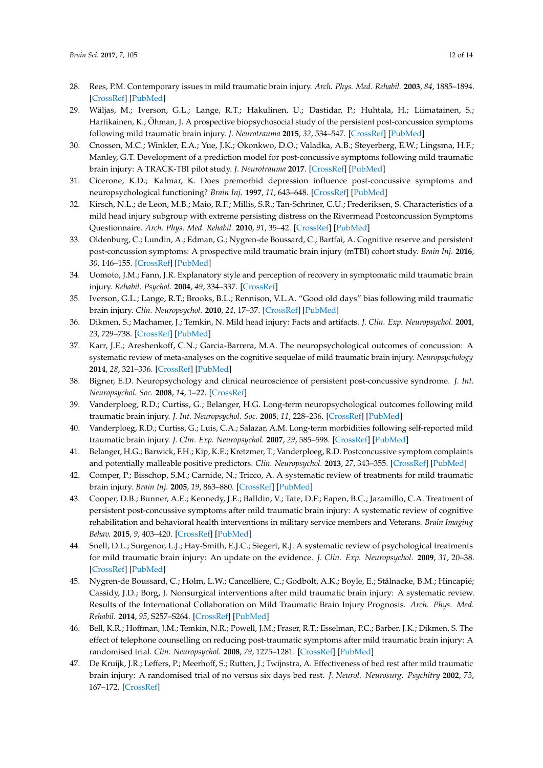- <span id="page-11-0"></span>28. Rees, P.M. Contemporary issues in mild traumatic brain injury. *Arch. Phys. Med. Rehabil.* **2003**, *84*, 1885–1894. [\[CrossRef\]](http://dx.doi.org/10.1016/j.apmr.2003.03.001) [\[PubMed\]](http://www.ncbi.nlm.nih.gov/pubmed/14669199)
- <span id="page-11-1"></span>29. Wäljas, M.; Iverson, G.L.; Lange, R.T.; Hakulinen, U.; Dastidar, P.; Huhtala, H.; Liimatainen, S.; Hartikainen, K.; Öhman, J. A prospective biopsychosocial study of the persistent post-concussion symptoms following mild traumatic brain injury. *J. Neurotrauma* **2015**, *32*, 534–547. [\[CrossRef\]](http://dx.doi.org/10.1089/neu.2014.3339) [\[PubMed\]](http://www.ncbi.nlm.nih.gov/pubmed/25363626)
- <span id="page-11-2"></span>30. Cnossen, M.C.; Winkler, E.A.; Yue, J.K.; Okonkwo, D.O.; Valadka, A.B.; Steyerberg, E.W.; Lingsma, H.F.; Manley, G.T. Development of a prediction model for post-concussive symptoms following mild traumatic brain injury: A TRACK-TBI pilot study. *J. Neurotrauma* **2017**. [\[CrossRef\]](http://dx.doi.org/10.1089/neu.2016.4819) [\[PubMed\]](http://www.ncbi.nlm.nih.gov/pubmed/28343409)
- <span id="page-11-3"></span>31. Cicerone, K.D.; Kalmar, K. Does premorbid depression influence post-concussive symptoms and neuropsychological functioning? *Brain Inj.* **1997**, *11*, 643–648. [\[CrossRef\]](http://dx.doi.org/10.1080/026990597123197) [\[PubMed\]](http://www.ncbi.nlm.nih.gov/pubmed/9376832)
- <span id="page-11-4"></span>32. Kirsch, N.L.; de Leon, M.B.; Maio, R.F.; Millis, S.R.; Tan-Schriner, C.U.; Frederiksen, S. Characteristics of a mild head injury subgroup with extreme persisting distress on the Rivermead Postconcussion Symptoms Questionnaire. *Arch. Phys. Med. Rehabil.* **2010**, *91*, 35–42. [\[CrossRef\]](http://dx.doi.org/10.1016/j.apmr.2009.09.019) [\[PubMed\]](http://www.ncbi.nlm.nih.gov/pubmed/20103394)
- <span id="page-11-5"></span>33. Oldenburg, C.; Lundin, A.; Edman, G.; Nygren-de Boussard, C.; Bartfai, A. Cognitive reserve and persistent post-concussion symptoms: A prospective mild traumatic brain injury (mTBI) cohort study. *Brain Inj.* **2016**, *30*, 146–155. [\[CrossRef\]](http://dx.doi.org/10.3109/02699052.2015.1089598) [\[PubMed\]](http://www.ncbi.nlm.nih.gov/pubmed/26618716)
- <span id="page-11-6"></span>34. Uomoto, J.M.; Fann, J.R. Explanatory style and perception of recovery in symptomatic mild traumatic brain injury. *Rehabil. Psychol.* **2004**, *49*, 334–337. [\[CrossRef\]](http://dx.doi.org/10.1037/0090-5550.49.4.334)
- <span id="page-11-7"></span>35. Iverson, G.L.; Lange, R.T.; Brooks, B.L.; Rennison, V.L.A. "Good old days" bias following mild traumatic brain injury. *Clin. Neuropsychol.* **2010**, *24*, 17–37. [\[CrossRef\]](http://dx.doi.org/10.1080/13854040903190797) [\[PubMed\]](http://www.ncbi.nlm.nih.gov/pubmed/19830628)
- <span id="page-11-8"></span>36. Dikmen, S.; Machamer, J.; Temkin, N. Mild head injury: Facts and artifacts. *J. Clin. Exp. Neuropsychol.* **2001**, *23*, 729–738. [\[CrossRef\]](http://dx.doi.org/10.1076/jcen.23.6.729.1019) [\[PubMed\]](http://www.ncbi.nlm.nih.gov/pubmed/11910540)
- <span id="page-11-9"></span>37. Karr, J.E.; Areshenkoff, C.N.; Garcia-Barrera, M.A. The neuropsychological outcomes of concussion: A systematic review of meta-analyses on the cognitive sequelae of mild traumatic brain injury. *Neuropsychology* **2014**, *28*, 321–336. [\[CrossRef\]](http://dx.doi.org/10.1037/neu0000037) [\[PubMed\]](http://www.ncbi.nlm.nih.gov/pubmed/24219611)
- <span id="page-11-10"></span>38. Bigner, E.D. Neuropsychology and clinical neuroscience of persistent post-concussive syndrome. *J. Int. Neuropsychol. Soc.* **2008**, *14*, 1–22. [\[CrossRef\]](http://dx.doi.org/10.1017/S135561770808017X)
- <span id="page-11-11"></span>39. Vanderploeg, R.D.; Curtiss, G.; Belanger, H.G. Long-term neuropsychological outcomes following mild traumatic brain injury. *J. Int. Neuropsychol. Soc.* **2005**, *11*, 228–236. [\[CrossRef\]](http://dx.doi.org/10.1017/S1355617705050289) [\[PubMed\]](http://www.ncbi.nlm.nih.gov/pubmed/15892899)
- <span id="page-11-12"></span>40. Vanderploeg, R.D.; Curtiss, G.; Luis, C.A.; Salazar, A.M. Long-term morbidities following self-reported mild traumatic brain injury. *J. Clin. Exp. Neuropsychol.* **2007**, *29*, 585–598. [\[CrossRef\]](http://dx.doi.org/10.1080/13803390600826587) [\[PubMed\]](http://www.ncbi.nlm.nih.gov/pubmed/17691031)
- <span id="page-11-13"></span>41. Belanger, H.G.; Barwick, F.H.; Kip, K.E.; Kretzmer, T.; Vanderploeg, R.D. Postconcussive symptom complaints and potentially malleable positive predictors. *Clin. Neuropsychol.* **2013**, *27*, 343–355. [\[CrossRef\]](http://dx.doi.org/10.1080/13854046.2013.774438) [\[PubMed\]](http://www.ncbi.nlm.nih.gov/pubmed/23458513)
- <span id="page-11-14"></span>42. Comper, P.; Bisschop, S.M.; Carnide, N.; Tricco, A. A systematic review of treatments for mild traumatic brain injury. *Brain Inj.* **2005**, *19*, 863–880. [\[CrossRef\]](http://dx.doi.org/10.1080/02699050400025042) [\[PubMed\]](http://www.ncbi.nlm.nih.gov/pubmed/16296570)
- <span id="page-11-19"></span>43. Cooper, D.B.; Bunner, A.E.; Kennedy, J.E.; Balldin, V.; Tate, D.F.; Eapen, B.C.; Jaramillo, C.A. Treatment of persistent post-concussive symptoms after mild traumatic brain injury: A systematic review of cognitive rehabilitation and behavioral health interventions in military service members and Veterans. *Brain Imaging Behav.* **2015**, *9*, 403–420. [\[CrossRef\]](http://dx.doi.org/10.1007/s11682-015-9440-2) [\[PubMed\]](http://www.ncbi.nlm.nih.gov/pubmed/26330376)
- <span id="page-11-15"></span>44. Snell, D.L.; Surgenor, L.J.; Hay-Smith, E.J.C.; Siegert, R.J. A systematic review of psychological treatments for mild traumatic brain injury: An update on the evidence. *J. Clin. Exp. Neuropsychol.* **2009**, *31*, 20–38. [\[CrossRef\]](http://dx.doi.org/10.1080/13803390801978849) [\[PubMed\]](http://www.ncbi.nlm.nih.gov/pubmed/18608646)
- <span id="page-11-16"></span>45. Nygren-de Boussard, C.; Holm, L.W.; Cancelliere, C.; Godbolt, A.K.; Boyle, E.; Stålnacke, B.M.; Hincapié; Cassidy, J.D.; Borg, J. Nonsurgical interventions after mild traumatic brain injury: A systematic review. Results of the International Collaboration on Mild Traumatic Brain Injury Prognosis. *Arch. Phys. Med. Rehabil.* **2014**, *95*, S257–S264. [\[CrossRef\]](http://dx.doi.org/10.1016/j.apmr.2013.10.009) [\[PubMed\]](http://www.ncbi.nlm.nih.gov/pubmed/24581911)
- <span id="page-11-17"></span>46. Bell, K.R.; Hoffman, J.M.; Temkin, N.R.; Powell, J.M.; Fraser, R.T.; Esselman, P.C.; Barber, J.K.; Dikmen, S. The effect of telephone counselling on reducing post-traumatic symptoms after mild traumatic brain injury: A randomised trial. *Clin. Neuropsychol.* **2008**, *79*, 1275–1281. [\[CrossRef\]](http://dx.doi.org/10.1136/jnnp.2007.141762) [\[PubMed\]](http://www.ncbi.nlm.nih.gov/pubmed/18469027)
- <span id="page-11-18"></span>47. De Kruijk, J.R.; Leffers, P.; Meerhoff, S.; Rutten, J.; Twijnstra, A. Effectiveness of bed rest after mild traumatic brain injury: A randomised trial of no versus six days bed rest. *J. Neurol. Neurosurg. Psychitry* **2002**, *73*, 167–172. [\[CrossRef\]](http://dx.doi.org/10.1136/jnnp.73.2.167)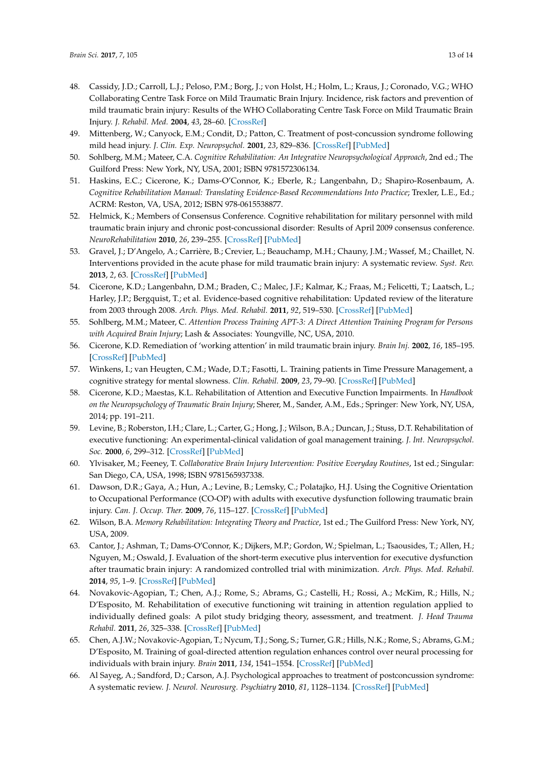- <span id="page-12-0"></span>48. Cassidy, J.D.; Carroll, L.J.; Peloso, P.M.; Borg, J.; von Holst, H.; Holm, L.; Kraus, J.; Coronado, V.G.; WHO Collaborating Centre Task Force on Mild Traumatic Brain Injury. Incidence, risk factors and prevention of mild traumatic brain injury: Results of the WHO Collaborating Centre Task Force on Mild Traumatic Brain Injury. *J. Rehabil. Med.* **2004**, *43*, 28–60. [\[CrossRef\]](http://dx.doi.org/10.1080/16501960410023732)
- <span id="page-12-1"></span>49. Mittenberg, W.; Canyock, E.M.; Condit, D.; Patton, C. Treatment of post-concussion syndrome following mild head injury. *J. Clin. Exp. Neuropsychol.* **2001**, *23*, 829–836. [\[CrossRef\]](http://dx.doi.org/10.1076/jcen.23.6.829.1022) [\[PubMed\]](http://www.ncbi.nlm.nih.gov/pubmed/11910547)
- <span id="page-12-2"></span>50. Sohlberg, M.M.; Mateer, C.A. *Cognitive Rehabilitation: An Integrative Neuropsychological Approach*, 2nd ed.; The Guilford Press: New York, NY, USA, 2001; ISBN 9781572306134.
- <span id="page-12-3"></span>51. Haskins, E.C.; Cicerone, K.; Dams-O'Connor, K.; Eberle, R.; Langenbahn, D.; Shapiro-Rosenbaum, A. *Cognitive Rehabilitation Manual: Translating Evidence-Based Recommendations Into Practice*; Trexler, L.E., Ed.; ACRM: Reston, VA, USA, 2012; ISBN 978-0615538877.
- <span id="page-12-4"></span>52. Helmick, K.; Members of Consensus Conference. Cognitive rehabilitation for military personnel with mild traumatic brain injury and chronic post-concussional disorder: Results of April 2009 consensus conference. *NeuroRehabilitation* **2010**, *26*, 239–255. [\[CrossRef\]](http://dx.doi.org/10.3233/NRE-2010-0560) [\[PubMed\]](http://www.ncbi.nlm.nih.gov/pubmed/20448314)
- <span id="page-12-5"></span>53. Gravel, J.; D'Angelo, A.; Carrière, B.; Crevier, L.; Beauchamp, M.H.; Chauny, J.M.; Wassef, M.; Chaillet, N. Interventions provided in the acute phase for mild traumatic brain injury: A systematic review. *Syst. Rev.* **2013**, *2*, 63. [\[CrossRef\]](http://dx.doi.org/10.1186/2046-4053-2-63) [\[PubMed\]](http://www.ncbi.nlm.nih.gov/pubmed/23924958)
- <span id="page-12-6"></span>54. Cicerone, K.D.; Langenbahn, D.M.; Braden, C.; Malec, J.F.; Kalmar, K.; Fraas, M.; Felicetti, T.; Laatsch, L.; Harley, J.P.; Bergquist, T.; et al. Evidence-based cognitive rehabilitation: Updated review of the literature from 2003 through 2008. *Arch. Phys. Med. Rehabil.* **2011**, *92*, 519–530. [\[CrossRef\]](http://dx.doi.org/10.1016/j.apmr.2010.11.015) [\[PubMed\]](http://www.ncbi.nlm.nih.gov/pubmed/21440699)
- <span id="page-12-7"></span>55. Sohlberg, M.M.; Mateer, C. *Attention Process Training APT-3: A Direct Attention Training Program for Persons with Acquired Brain Injury*; Lash & Associates: Youngville, NC, USA, 2010.
- <span id="page-12-8"></span>56. Cicerone, K.D. Remediation of 'working attention' in mild traumatic brain injury. *Brain Inj.* **2002**, *16*, 185–195. [\[CrossRef\]](http://dx.doi.org/10.1080/02699050110103959) [\[PubMed\]](http://www.ncbi.nlm.nih.gov/pubmed/11874612)
- <span id="page-12-9"></span>57. Winkens, I.; van Heugten, C.M.; Wade, D.T.; Fasotti, L. Training patients in Time Pressure Management, a cognitive strategy for mental slowness. *Clin. Rehabil.* **2009**, *23*, 79–90. [\[CrossRef\]](http://dx.doi.org/10.1177/0269215508097855) [\[PubMed\]](http://www.ncbi.nlm.nih.gov/pubmed/19114440)
- <span id="page-12-10"></span>58. Cicerone, K.D.; Maestas, K.L. Rehabilitation of Attention and Executive Function Impairments. In *Handbook on the Neuropsychology of Traumatic Brain Injury*; Sherer, M., Sander, A.M., Eds.; Springer: New York, NY, USA, 2014; pp. 191–211.
- <span id="page-12-11"></span>59. Levine, B.; Roberston, I.H.; Clare, L.; Carter, G.; Hong, J.; Wilson, B.A.; Duncan, J.; Stuss, D.T. Rehabilitation of executive functioning: An experimental-clinical validation of goal management training. *J. Int. Neuropsychol. Soc.* **2000**, *6*, 299–312. [\[CrossRef\]](http://dx.doi.org/10.1017/S1355617700633052) [\[PubMed\]](http://www.ncbi.nlm.nih.gov/pubmed/10824502)
- <span id="page-12-12"></span>60. Ylvisaker, M.; Feeney, T. *Collaborative Brain Injury Intervention: Positive Everyday Routines*, 1st ed.; Singular: San Diego, CA, USA, 1998; ISBN 9781565937338.
- <span id="page-12-13"></span>61. Dawson, D.R.; Gaya, A.; Hun, A.; Levine, B.; Lemsky, C.; Polatajko, H.J. Using the Cognitive Orientation to Occupational Performance (CO-OP) with adults with executive dysfunction following traumatic brain injury. *Can. J. Occup. Ther.* **2009**, *76*, 115–127. [\[CrossRef\]](http://dx.doi.org/10.1177/000841740907600209) [\[PubMed\]](http://www.ncbi.nlm.nih.gov/pubmed/19456090)
- <span id="page-12-14"></span>62. Wilson, B.A. *Memory Rehabilitation: Integrating Theory and Practice*, 1st ed.; The Guilford Press: New York, NY, USA, 2009.
- <span id="page-12-15"></span>63. Cantor, J.; Ashman, T.; Dams-O'Connor, K.; Dijkers, M.P.; Gordon, W.; Spielman, L.; Tsaousides, T.; Allen, H.; Nguyen, M.; Oswald, J. Evaluation of the short-term executive plus intervention for executive dysfunction after traumatic brain injury: A randomized controlled trial with minimization. *Arch. Phys. Med. Rehabil.* **2014**, *95*, 1–9. [\[CrossRef\]](http://dx.doi.org/10.1016/j.apmr.2013.08.005) [\[PubMed\]](http://www.ncbi.nlm.nih.gov/pubmed/23988395)
- <span id="page-12-16"></span>64. Novakovic-Agopian, T.; Chen, A.J.; Rome, S.; Abrams, G.; Castelli, H.; Rossi, A.; McKim, R.; Hills, N.; D'Esposito, M. Rehabilitation of executive functioning wit training in attention regulation applied to individually defined goals: A pilot study bridging theory, assessment, and treatment. *J. Head Trauma Rehabil.* **2011**, *26*, 325–338. [\[CrossRef\]](http://dx.doi.org/10.1097/HTR.0b013e3181f1ead2) [\[PubMed\]](http://www.ncbi.nlm.nih.gov/pubmed/21169860)
- <span id="page-12-17"></span>65. Chen, A.J.W.; Novakovic-Agopian, T.; Nycum, T.J.; Song, S.; Turner, G.R.; Hills, N.K.; Rome, S.; Abrams, G.M.; D'Esposito, M. Training of goal-directed attention regulation enhances control over neural processing for individuals with brain injury. *Brain* **2011**, *134*, 1541–1554. [\[CrossRef\]](http://dx.doi.org/10.1093/brain/awr067) [\[PubMed\]](http://www.ncbi.nlm.nih.gov/pubmed/21515904)
- <span id="page-12-18"></span>66. Al Sayeg, A.; Sandford, D.; Carson, A.J. Psychological approaches to treatment of postconcussion syndrome: A systematic review. *J. Neurol. Neurosurg. Psychiatry* **2010**, *81*, 1128–1134. [\[CrossRef\]](http://dx.doi.org/10.1136/jnnp.2008.170092) [\[PubMed\]](http://www.ncbi.nlm.nih.gov/pubmed/20802219)